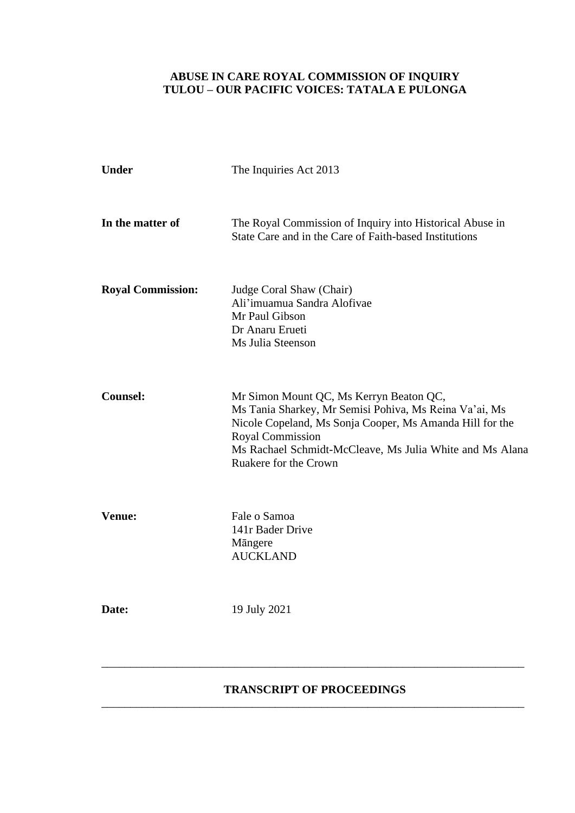## **ABUSE IN CARE ROYAL COMMISSION OF INQUIRY TULOU – OUR PACIFIC VOICES: TATALA E PULONGA**

| <b>Under</b>             | The Inquiries Act 2013<br>The Royal Commission of Inquiry into Historical Abuse in<br>State Care and in the Care of Faith-based Institutions                                                                                                                           |  |
|--------------------------|------------------------------------------------------------------------------------------------------------------------------------------------------------------------------------------------------------------------------------------------------------------------|--|
| In the matter of         |                                                                                                                                                                                                                                                                        |  |
| <b>Royal Commission:</b> | Judge Coral Shaw (Chair)<br>Ali'imuamua Sandra Alofivae<br>Mr Paul Gibson<br>Dr Anaru Erueti<br>Ms Julia Steenson                                                                                                                                                      |  |
| <b>Counsel:</b>          | Mr Simon Mount QC, Ms Kerryn Beaton QC,<br>Ms Tania Sharkey, Mr Semisi Pohiva, Ms Reina Va'ai, Ms<br>Nicole Copeland, Ms Sonja Cooper, Ms Amanda Hill for the<br>Royal Commission<br>Ms Rachael Schmidt-McCleave, Ms Julia White and Ms Alana<br>Ruakere for the Crown |  |
| <b>Venue:</b>            | Fale o Samoa<br>141r Bader Drive<br>Mängere<br><b>AUCKLAND</b>                                                                                                                                                                                                         |  |
| Date:                    | 19 July 2021                                                                                                                                                                                                                                                           |  |
|                          |                                                                                                                                                                                                                                                                        |  |

## **TRANSCRIPT OF PROCEEDINGS** \_\_\_\_\_\_\_\_\_\_\_\_\_\_\_\_\_\_\_\_\_\_\_\_\_\_\_\_\_\_\_\_\_\_\_\_\_\_\_\_\_\_\_\_\_\_\_\_\_\_\_\_\_\_\_\_\_\_\_\_\_\_\_\_\_\_\_\_\_\_\_\_\_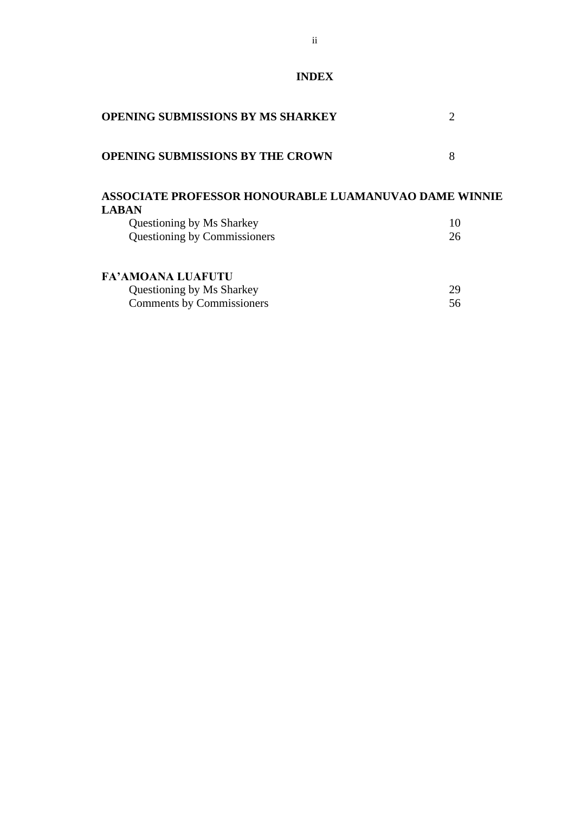**INDEX**

| <b>OPENING SUBMISSIONS BY MS SHARKEY</b>                                     |    |
|------------------------------------------------------------------------------|----|
| <b>OPENING SUBMISSIONS BY THE CROWN</b>                                      | 8  |
| <b>ASSOCIATE PROFESSOR HONOURABLE LUAMANUVAO DAME WINNIE</b><br><b>LABAN</b> |    |
| Questioning by Ms Sharkey                                                    | 10 |
| Questioning by Commissioners                                                 | 26 |
| <b>FA' AMOANA LUAFUTU</b>                                                    |    |
| Questioning by Ms Sharkey                                                    | 29 |
| <b>Comments by Commissioners</b>                                             | 56 |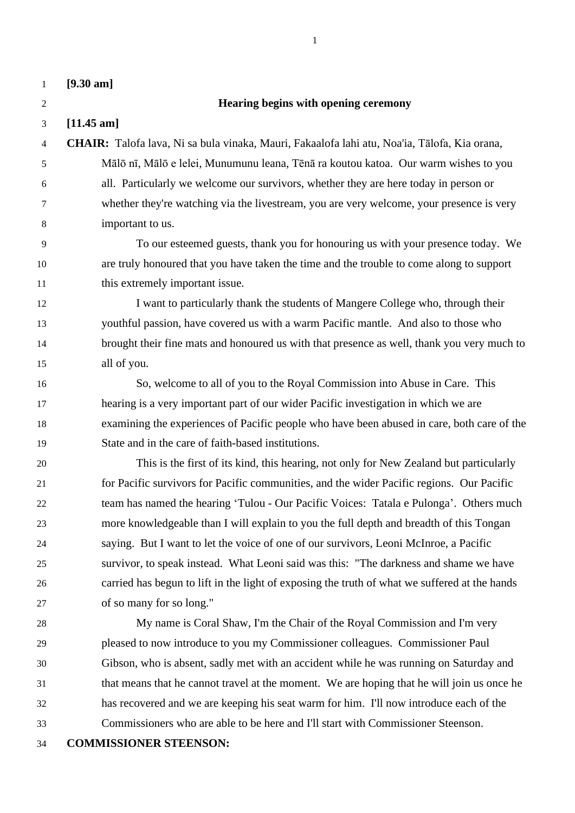**[9.30 am]**

### **Hearing begins with opening ceremony**

**[11.45 am]**

- **CHAIR:** Talofa lava, Ni sa bula vinaka, Mauri, Fakaalofa lahi atu, Noa'ia, Tālofa, Kia orana, Mālō nī, Mālō e lelei, Munumunu leana, Tēnā ra koutou katoa. Our warm wishes to you all. Particularly we welcome our survivors, whether they are here today in person or whether they're watching via the livestream, you are very welcome, your presence is very important to us.
- To our esteemed guests, thank you for honouring us with your presence today. We are truly honoured that you have taken the time and the trouble to come along to support 11 this extremely important issue.
- I want to particularly thank the students of Mangere College who, through their youthful passion, have covered us with a warm Pacific mantle. And also to those who brought their fine mats and honoured us with that presence as well, thank you very much to all of you.
- So, welcome to all of you to the Royal Commission into Abuse in Care. This hearing is a very important part of our wider Pacific investigation in which we are examining the experiences of Pacific people who have been abused in care, both care of the State and in the care of faith-based institutions.
- This is the first of its kind, this hearing, not only for New Zealand but particularly for Pacific survivors for Pacific communities, and the wider Pacific regions. Our Pacific team has named the hearing 'Tulou - Our Pacific Voices: Tatala e Pulonga'. Others much more knowledgeable than I will explain to you the full depth and breadth of this Tongan saying. But I want to let the voice of one of our survivors, Leoni McInroe, a Pacific survivor, to speak instead. What Leoni said was this: "The darkness and shame we have carried has begun to lift in the light of exposing the truth of what we suffered at the hands of so many for so long."
- My name is Coral Shaw, I'm the Chair of the Royal Commission and I'm very pleased to now introduce to you my Commissioner colleagues. Commissioner Paul Gibson, who is absent, sadly met with an accident while he was running on Saturday and that means that he cannot travel at the moment. We are hoping that he will join us once he has recovered and we are keeping his seat warm for him. I'll now introduce each of the Commissioners who are able to be here and I'll start with Commissioner Steenson.
- **COMMISSIONER STEENSON:**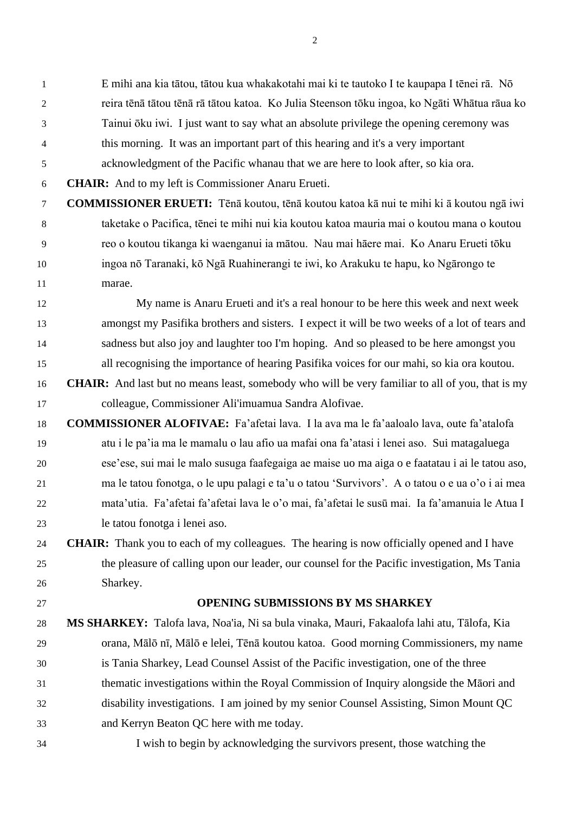E mihi ana kia tātou, tātou kua whakakotahi mai ki te tautoko I te kaupapa I tēnei rā. Nō reira tēnā tātou tēnā rā tātou katoa. Ko Julia Steenson tōku ingoa, ko Ngāti Whātua rāua ko Tainui ōku iwi. I just want to say what an absolute privilege the opening ceremony was this morning. It was an important part of this hearing and it's a very important

acknowledgment of the Pacific whanau that we are here to look after, so kia ora.

**CHAIR:** And to my left is Commissioner Anaru Erueti.

 **COMMISSIONER ERUETI:** Tēnā koutou, tēnā koutou katoa kā nui te mihi ki ā koutou ngā iwi taketake o Pacifica, tēnei te mihi nui kia koutou katoa mauria mai o koutou mana o koutou reo o koutou tikanga ki waenganui ia mātou. Nau mai hāere mai. Ko Anaru Erueti tōku ingoa nō Taranaki, kō Ngā Ruahinerangi te iwi, ko Arakuku te hapu, ko Ngārongo te marae.

 My name is Anaru Erueti and it's a real honour to be here this week and next week amongst my Pasifika brothers and sisters. I expect it will be two weeks of a lot of tears and sadness but also joy and laughter too I'm hoping. And so pleased to be here amongst you all recognising the importance of hearing Pasifika voices for our mahi, so kia ora koutou.

- **CHAIR:** And last but no means least, somebody who will be very familiar to all of you, that is my colleague, Commissioner Ali'imuamua Sandra Alofivae.
- **COMMISSIONER ALOFIVAE:** Fa'afetai lava. I la ava ma le fa'aaloalo lava, oute fa'atalofa atu i le pa'ia ma le mamalu o lau afio ua mafai ona fa'atasi i lenei aso. Sui matagaluega ese'ese, sui mai le malo susuga faafegaiga ae maise uo ma aiga o e faatatau i ai le tatou aso, ma le tatou fonotga, o le upu palagi e ta'u o tatou 'Survivors'. A o tatou o e ua o'o i ai mea mata'utia. Fa'afetai fa'afetai lava le o'o mai, fa'afetai le susū mai. Ia fa'amanuia le Atua I le tatou fonotga i lenei aso.
- **CHAIR:** Thank you to each of my colleagues. The hearing is now officially opened and I have the pleasure of calling upon our leader, our counsel for the Pacific investigation, Ms Tania Sharkey.

# **OPENING SUBMISSIONS BY MS SHARKEY**

- **MS SHARKEY:** Talofa lava, Noa'ia, Ni sa bula vinaka, Mauri, Fakaalofa lahi atu, Tālofa, Kia orana, Mālō nī, Mālō e lelei, Tēnā koutou katoa. Good morning Commissioners, my name is Tania Sharkey, Lead Counsel Assist of the Pacific investigation, one of the three thematic investigations within the Royal Commission of Inquiry alongside the Māori and disability investigations. I am joined by my senior Counsel Assisting, Simon Mount QC and Kerryn Beaton QC here with me today.
- I wish to begin by acknowledging the survivors present, those watching the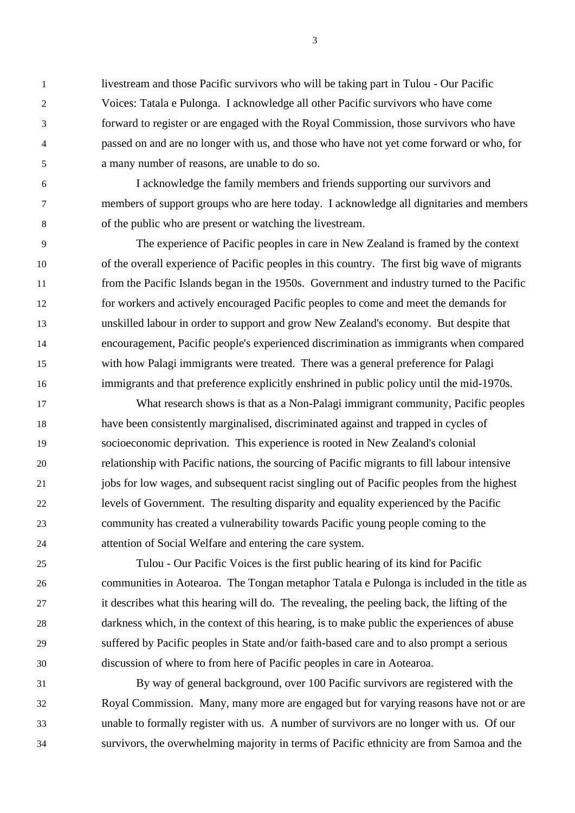livestream and those Pacific survivors who will be taking part in Tulou - Our Pacific Voices: Tatala e Pulonga. I acknowledge all other Pacific survivors who have come forward to register or are engaged with the Royal Commission, those survivors who have passed on and are no longer with us, and those who have not yet come forward or who, for a many number of reasons, are unable to do so.

 I acknowledge the family members and friends supporting our survivors and members of support groups who are here today. I acknowledge all dignitaries and members of the public who are present or watching the livestream.

 The experience of Pacific peoples in care in New Zealand is framed by the context of the overall experience of Pacific peoples in this country. The first big wave of migrants from the Pacific Islands began in the 1950s. Government and industry turned to the Pacific for workers and actively encouraged Pacific peoples to come and meet the demands for unskilled labour in order to support and grow New Zealand's economy. But despite that encouragement, Pacific people's experienced discrimination as immigrants when compared with how Palagi immigrants were treated. There was a general preference for Palagi immigrants and that preference explicitly enshrined in public policy until the mid-1970s.

 What research shows is that as a Non-Palagi immigrant community, Pacific peoples have been consistently marginalised, discriminated against and trapped in cycles of socioeconomic deprivation. This experience is rooted in New Zealand's colonial relationship with Pacific nations, the sourcing of Pacific migrants to fill labour intensive jobs for low wages, and subsequent racist singling out of Pacific peoples from the highest levels of Government. The resulting disparity and equality experienced by the Pacific community has created a vulnerability towards Pacific young people coming to the attention of Social Welfare and entering the care system.

 Tulou - Our Pacific Voices is the first public hearing of its kind for Pacific communities in Aotearoa. The Tongan metaphor Tatala e Pulonga is included in the title as it describes what this hearing will do. The revealing, the peeling back, the lifting of the darkness which, in the context of this hearing, is to make public the experiences of abuse suffered by Pacific peoples in State and/or faith-based care and to also prompt a serious discussion of where to from here of Pacific peoples in care in Aotearoa.

 By way of general background, over 100 Pacific survivors are registered with the Royal Commission. Many, many more are engaged but for varying reasons have not or are unable to formally register with us. A number of survivors are no longer with us. Of our survivors, the overwhelming majority in terms of Pacific ethnicity are from Samoa and the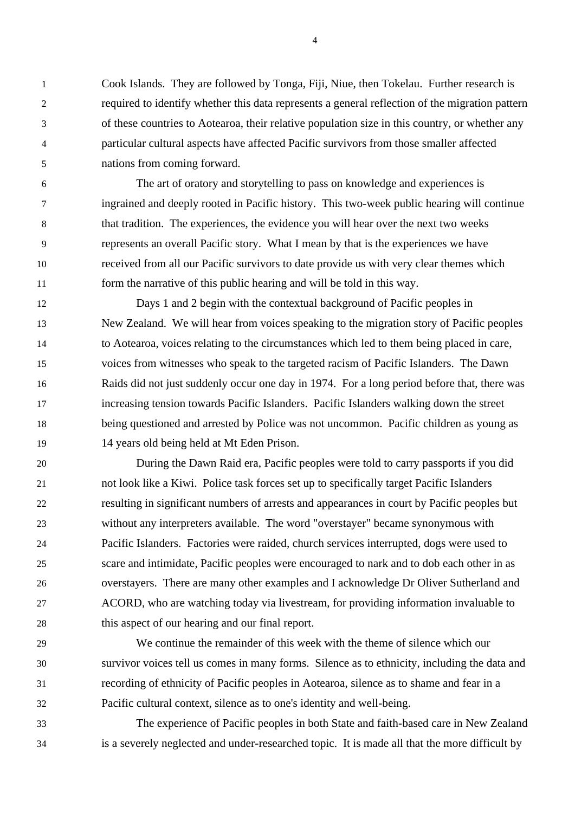Cook Islands. They are followed by Tonga, Fiji, Niue, then Tokelau. Further research is required to identify whether this data represents a general reflection of the migration pattern of these countries to Aotearoa, their relative population size in this country, or whether any particular cultural aspects have affected Pacific survivors from those smaller affected nations from coming forward.

 The art of oratory and storytelling to pass on knowledge and experiences is ingrained and deeply rooted in Pacific history. This two-week public hearing will continue that tradition. The experiences, the evidence you will hear over the next two weeks represents an overall Pacific story. What I mean by that is the experiences we have received from all our Pacific survivors to date provide us with very clear themes which form the narrative of this public hearing and will be told in this way.

 Days 1 and 2 begin with the contextual background of Pacific peoples in New Zealand. We will hear from voices speaking to the migration story of Pacific peoples to Aotearoa, voices relating to the circumstances which led to them being placed in care, voices from witnesses who speak to the targeted racism of Pacific Islanders. The Dawn Raids did not just suddenly occur one day in 1974. For a long period before that, there was increasing tension towards Pacific Islanders. Pacific Islanders walking down the street being questioned and arrested by Police was not uncommon. Pacific children as young as 14 years old being held at Mt Eden Prison.

 During the Dawn Raid era, Pacific peoples were told to carry passports if you did not look like a Kiwi. Police task forces set up to specifically target Pacific Islanders resulting in significant numbers of arrests and appearances in court by Pacific peoples but without any interpreters available. The word "overstayer" became synonymous with Pacific Islanders. Factories were raided, church services interrupted, dogs were used to scare and intimidate, Pacific peoples were encouraged to nark and to dob each other in as overstayers. There are many other examples and I acknowledge Dr Oliver Sutherland and ACORD, who are watching today via livestream, for providing information invaluable to this aspect of our hearing and our final report.

 We continue the remainder of this week with the theme of silence which our survivor voices tell us comes in many forms. Silence as to ethnicity, including the data and recording of ethnicity of Pacific peoples in Aotearoa, silence as to shame and fear in a Pacific cultural context, silence as to one's identity and well-being.

 The experience of Pacific peoples in both State and faith-based care in New Zealand is a severely neglected and under-researched topic. It is made all that the more difficult by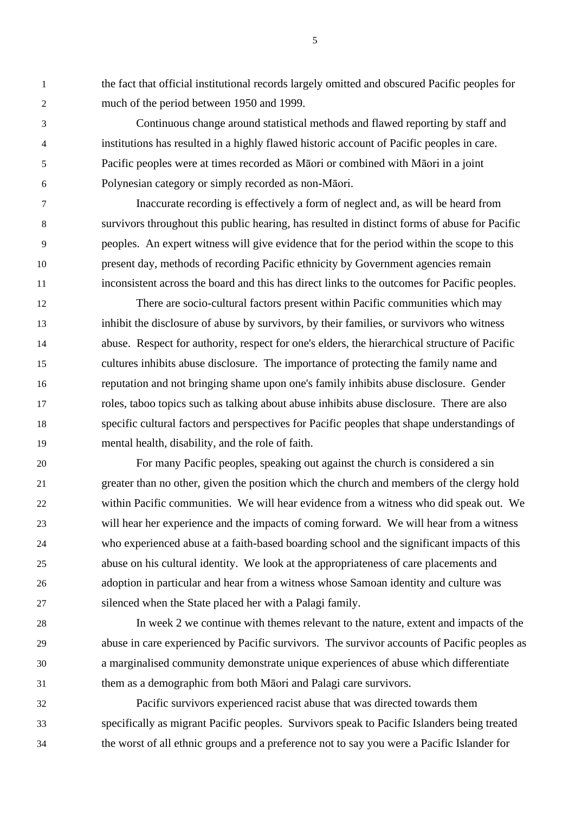the fact that official institutional records largely omitted and obscured Pacific peoples for much of the period between 1950 and 1999.

 Continuous change around statistical methods and flawed reporting by staff and institutions has resulted in a highly flawed historic account of Pacific peoples in care. Pacific peoples were at times recorded as Māori or combined with Māori in a joint Polynesian category or simply recorded as non-Māori.

 Inaccurate recording is effectively a form of neglect and, as will be heard from survivors throughout this public hearing, has resulted in distinct forms of abuse for Pacific peoples. An expert witness will give evidence that for the period within the scope to this present day, methods of recording Pacific ethnicity by Government agencies remain inconsistent across the board and this has direct links to the outcomes for Pacific peoples.

 There are socio-cultural factors present within Pacific communities which may inhibit the disclosure of abuse by survivors, by their families, or survivors who witness abuse. Respect for authority, respect for one's elders, the hierarchical structure of Pacific cultures inhibits abuse disclosure. The importance of protecting the family name and reputation and not bringing shame upon one's family inhibits abuse disclosure. Gender roles, taboo topics such as talking about abuse inhibits abuse disclosure. There are also specific cultural factors and perspectives for Pacific peoples that shape understandings of mental health, disability, and the role of faith.

 For many Pacific peoples, speaking out against the church is considered a sin greater than no other, given the position which the church and members of the clergy hold within Pacific communities. We will hear evidence from a witness who did speak out. We will hear her experience and the impacts of coming forward. We will hear from a witness who experienced abuse at a faith-based boarding school and the significant impacts of this abuse on his cultural identity. We look at the appropriateness of care placements and adoption in particular and hear from a witness whose Samoan identity and culture was silenced when the State placed her with a Palagi family.

 In week 2 we continue with themes relevant to the nature, extent and impacts of the abuse in care experienced by Pacific survivors. The survivor accounts of Pacific peoples as a marginalised community demonstrate unique experiences of abuse which differentiate them as a demographic from both Māori and Palagi care survivors.

 Pacific survivors experienced racist abuse that was directed towards them specifically as migrant Pacific peoples. Survivors speak to Pacific Islanders being treated the worst of all ethnic groups and a preference not to say you were a Pacific Islander for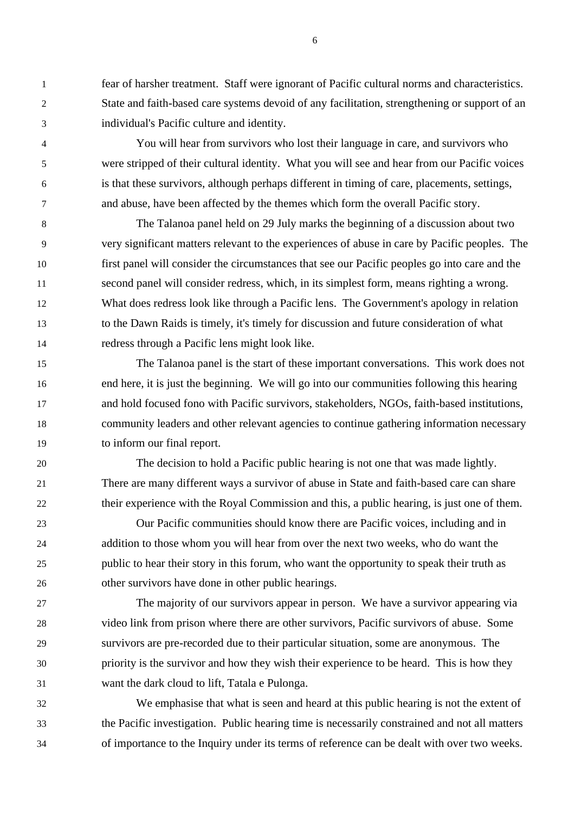fear of harsher treatment. Staff were ignorant of Pacific cultural norms and characteristics. State and faith-based care systems devoid of any facilitation, strengthening or support of an individual's Pacific culture and identity.

 You will hear from survivors who lost their language in care, and survivors who were stripped of their cultural identity. What you will see and hear from our Pacific voices is that these survivors, although perhaps different in timing of care, placements, settings, and abuse, have been affected by the themes which form the overall Pacific story.

 The Talanoa panel held on 29 July marks the beginning of a discussion about two very significant matters relevant to the experiences of abuse in care by Pacific peoples. The first panel will consider the circumstances that see our Pacific peoples go into care and the second panel will consider redress, which, in its simplest form, means righting a wrong. What does redress look like through a Pacific lens. The Government's apology in relation to the Dawn Raids is timely, it's timely for discussion and future consideration of what redress through a Pacific lens might look like.

 The Talanoa panel is the start of these important conversations. This work does not end here, it is just the beginning. We will go into our communities following this hearing and hold focused fono with Pacific survivors, stakeholders, NGOs, faith-based institutions, community leaders and other relevant agencies to continue gathering information necessary to inform our final report.

 The decision to hold a Pacific public hearing is not one that was made lightly. There are many different ways a survivor of abuse in State and faith-based care can share their experience with the Royal Commission and this, a public hearing, is just one of them.

 Our Pacific communities should know there are Pacific voices, including and in addition to those whom you will hear from over the next two weeks, who do want the public to hear their story in this forum, who want the opportunity to speak their truth as other survivors have done in other public hearings.

 The majority of our survivors appear in person. We have a survivor appearing via video link from prison where there are other survivors, Pacific survivors of abuse. Some survivors are pre-recorded due to their particular situation, some are anonymous. The priority is the survivor and how they wish their experience to be heard. This is how they want the dark cloud to lift, Tatala e Pulonga.

 We emphasise that what is seen and heard at this public hearing is not the extent of the Pacific investigation. Public hearing time is necessarily constrained and not all matters of importance to the Inquiry under its terms of reference can be dealt with over two weeks.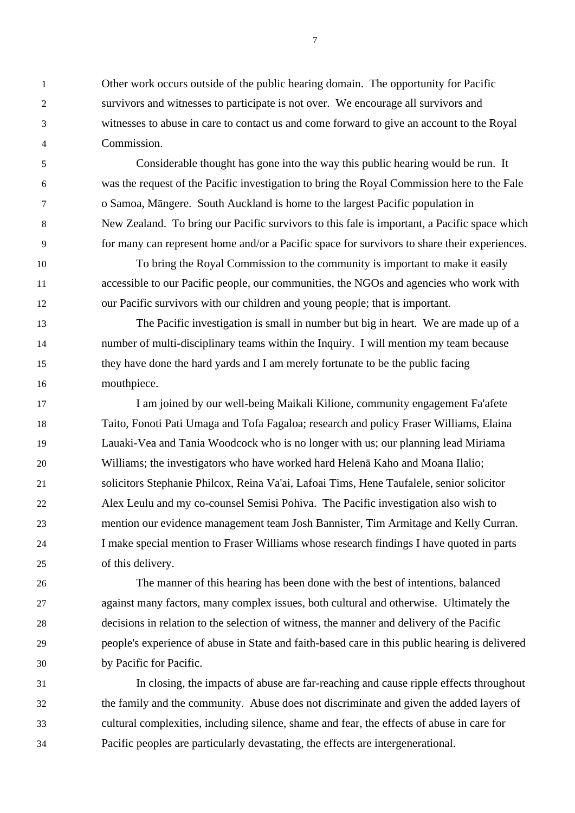Other work occurs outside of the public hearing domain. The opportunity for Pacific survivors and witnesses to participate is not over. We encourage all survivors and witnesses to abuse in care to contact us and come forward to give an account to the Royal Commission.

 Considerable thought has gone into the way this public hearing would be run. It was the request of the Pacific investigation to bring the Royal Commission here to the Fale o Samoa, Māngere. South Auckland is home to the largest Pacific population in New Zealand. To bring our Pacific survivors to this fale is important, a Pacific space which for many can represent home and/or a Pacific space for survivors to share their experiences.

 To bring the Royal Commission to the community is important to make it easily accessible to our Pacific people, our communities, the NGOs and agencies who work with our Pacific survivors with our children and young people; that is important.

 The Pacific investigation is small in number but big in heart. We are made up of a number of multi-disciplinary teams within the Inquiry. I will mention my team because they have done the hard yards and I am merely fortunate to be the public facing mouthpiece.

 I am joined by our well-being Maikali Kilione, community engagement Fa'afete Taito, Fonoti Pati Umaga and Tofa Fagaloa; research and policy Fraser Williams, Elaina Lauaki-Vea and Tania Woodcock who is no longer with us; our planning lead Miriama Williams; the investigators who have worked hard Helenā Kaho and Moana Ilalio; solicitors Stephanie Philcox, Reina Va'ai, Lafoai Tims, Hene Taufalele, senior solicitor Alex Leulu and my co-counsel Semisi Pohiva. The Pacific investigation also wish to mention our evidence management team Josh Bannister, Tim Armitage and Kelly Curran. I make special mention to Fraser Williams whose research findings I have quoted in parts of this delivery.

 The manner of this hearing has been done with the best of intentions, balanced against many factors, many complex issues, both cultural and otherwise. Ultimately the decisions in relation to the selection of witness, the manner and delivery of the Pacific people's experience of abuse in State and faith-based care in this public hearing is delivered by Pacific for Pacific.

 In closing, the impacts of abuse are far-reaching and cause ripple effects throughout the family and the community. Abuse does not discriminate and given the added layers of cultural complexities, including silence, shame and fear, the effects of abuse in care for Pacific peoples are particularly devastating, the effects are intergenerational.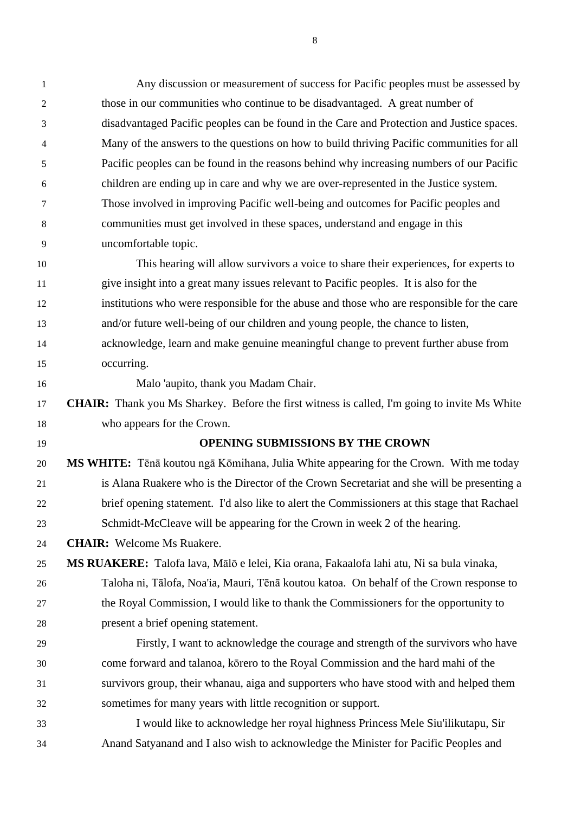| 1              | Any discussion or measurement of success for Pacific peoples must be assessed by                     |
|----------------|------------------------------------------------------------------------------------------------------|
| $\overline{2}$ | those in our communities who continue to be disadvantaged. A great number of                         |
| 3              | disadvantaged Pacific peoples can be found in the Care and Protection and Justice spaces.            |
| 4              | Many of the answers to the questions on how to build thriving Pacific communities for all            |
| 5              | Pacific peoples can be found in the reasons behind why increasing numbers of our Pacific             |
| 6              | children are ending up in care and why we are over-represented in the Justice system.                |
| 7              | Those involved in improving Pacific well-being and outcomes for Pacific peoples and                  |
| 8              | communities must get involved in these spaces, understand and engage in this                         |
| 9              | uncomfortable topic.                                                                                 |
| 10             | This hearing will allow survivors a voice to share their experiences, for experts to                 |
| 11             | give insight into a great many issues relevant to Pacific peoples. It is also for the                |
| 12             | institutions who were responsible for the abuse and those who are responsible for the care           |
| 13             | and/or future well-being of our children and young people, the chance to listen,                     |
| 14             | acknowledge, learn and make genuine meaningful change to prevent further abuse from                  |
| 15             | occurring.                                                                                           |
| 16             | Malo 'aupito, thank you Madam Chair.                                                                 |
| 17             | <b>CHAIR:</b> Thank you Ms Sharkey. Before the first witness is called, I'm going to invite Ms White |
| 18             | who appears for the Crown.                                                                           |
| 19             | <b>OPENING SUBMISSIONS BY THE CROWN</b>                                                              |
| 20             | MS WHITE: Tēnā koutou ngā Kōmihana, Julia White appearing for the Crown. With me today               |
| 21             | is Alana Ruakere who is the Director of the Crown Secretariat and she will be presenting a           |
| 22             | brief opening statement. I'd also like to alert the Commissioners at this stage that Rachael         |
| 23             | Schmidt-McCleave will be appearing for the Crown in week 2 of the hearing.                           |
| 24             | <b>CHAIR:</b> Welcome Ms Ruakere.                                                                    |
| 25             | <b>MS RUAKERE:</b> Talofa lava, Mālō e lelei, Kia orana, Fakaalofa lahi atu, Ni sa bula vinaka,      |
| 26             | Taloha ni, Tālofa, Noa'ia, Mauri, Tēnā koutou katoa. On behalf of the Crown response to              |
| 27             | the Royal Commission, I would like to thank the Commissioners for the opportunity to                 |
| 28             | present a brief opening statement.                                                                   |
| 29             | Firstly, I want to acknowledge the courage and strength of the survivors who have                    |
| 30             | come forward and talanoa, korero to the Royal Commission and the hard mahi of the                    |
| 31             | survivors group, their whanau, aiga and supporters who have stood with and helped them               |
| 32             | sometimes for many years with little recognition or support.                                         |
| 33             | I would like to acknowledge her royal highness Princess Mele Siu'ilikutapu, Sir                      |
| 34             | Anand Satyanand and I also wish to acknowledge the Minister for Pacific Peoples and                  |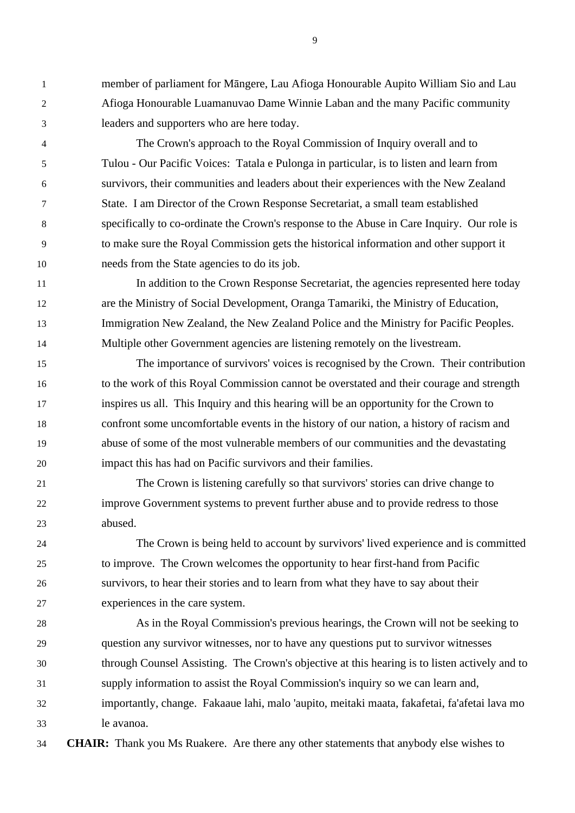member of parliament for Māngere, Lau Afioga Honourable Aupito William Sio and Lau Afioga Honourable Luamanuvao Dame Winnie Laban and the many Pacific community leaders and supporters who are here today.

 The Crown's approach to the Royal Commission of Inquiry overall and to Tulou - Our Pacific Voices: Tatala e Pulonga in particular, is to listen and learn from survivors, their communities and leaders about their experiences with the New Zealand State. I am Director of the Crown Response Secretariat, a small team established specifically to co-ordinate the Crown's response to the Abuse in Care Inquiry. Our role is to make sure the Royal Commission gets the historical information and other support it needs from the State agencies to do its job.

 In addition to the Crown Response Secretariat, the agencies represented here today are the Ministry of Social Development, Oranga Tamariki, the Ministry of Education, Immigration New Zealand, the New Zealand Police and the Ministry for Pacific Peoples. Multiple other Government agencies are listening remotely on the livestream.

 The importance of survivors' voices is recognised by the Crown. Their contribution to the work of this Royal Commission cannot be overstated and their courage and strength inspires us all. This Inquiry and this hearing will be an opportunity for the Crown to confront some uncomfortable events in the history of our nation, a history of racism and abuse of some of the most vulnerable members of our communities and the devastating impact this has had on Pacific survivors and their families.

 The Crown is listening carefully so that survivors' stories can drive change to improve Government systems to prevent further abuse and to provide redress to those abused.

 The Crown is being held to account by survivors' lived experience and is committed to improve. The Crown welcomes the opportunity to hear first-hand from Pacific survivors, to hear their stories and to learn from what they have to say about their experiences in the care system.

 As in the Royal Commission's previous hearings, the Crown will not be seeking to question any survivor witnesses, nor to have any questions put to survivor witnesses through Counsel Assisting. The Crown's objective at this hearing is to listen actively and to supply information to assist the Royal Commission's inquiry so we can learn and, importantly, change. Fakaaue lahi, malo 'aupito, meitaki maata, fakafetai, fa'afetai lava mo le avanoa.

**CHAIR:** Thank you Ms Ruakere. Are there any other statements that anybody else wishes to